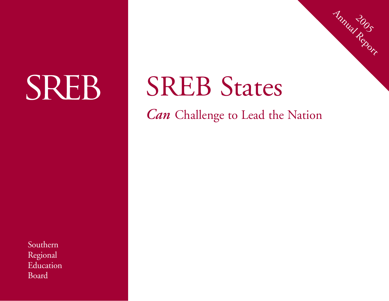# **SREB**

# SREB States

*Can* Challenge to Lead the Nation

2005 Annual Report

Southern Regional Education Board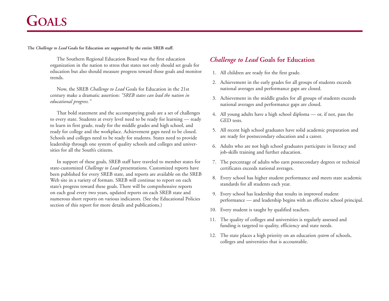# **GOALS**

**The** *Challenge to Lead* **Goals for Education are supported by the entire SREB staff.**

The Southern Regional Education Board was the first education organization in the nation to stress that states not only should set goals for education but also should measure progress toward those goals and monitor trends.

Now, the SREB *Challenge to Lead* Goals for Education in the 21st century make a dramatic assertion: *"SREB states can lead the nation in educational progress."*

That bold statement and the accompanying goals are a set of challenges to every state. Students at every level need to be ready for learning — ready to learn in first grade, ready for the middle grades and high school, and ready for college and the workplace. Achievement gaps need to be closed. Schools and colleges need to be ready for students. States need to provide leadership through one system of quality schools and colleges and universities for all the South's citizens.

In support of these goals, SREB staff have traveled to member states for state-customized *Challenge to Lead* presentations. Customized reports have been published for every SREB state, and reports are available on the SREB Web site in a variety of formats. SREB will continue to report on each state's progress toward these goals. There will be comprehensive reports on each goal every two years, updated reports on each SREB state and numerous short reports on various indicators. (See the Educational Policies section of this report for more details and publications.)

# *Challenge to Lead* **Goals for Education**

- 1. All children are ready for the first grade.
- 2. Achievement in the early grades for all groups of students exceeds national averages and performance gaps are closed.
- 3. Achievement in the middle grades for all groups of students exceeds national averages and performance gaps are closed.
- 4. All young adults have a high school diploma or, if not, pass the GED tests.
- 5. All recent high school graduates have solid academic preparation and are ready for postsecondary education and a career.
- 6. Adults who are not high school graduates participate in literacy and job-skills training and further education.
- 7. The percentage of adults who earn postsecondary degrees or technical certificates exceeds national averages.
- 8. Every school has higher student performance and meets state academic standards for all students each year.
- 9. Every school has leadership that results in improved student performance — and leadership begins with an effective school principal.
- 10. Every student is taught by qualified teachers.
- 11. The quality of colleges and universities is regularly assessed and funding is targeted to quality, efficiency and state needs.
- 12. The state places a high priority on an education *system* of schools, colleges and universities that is accountable.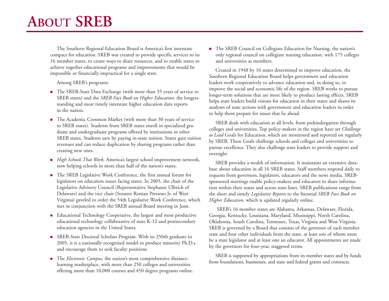The Southern Regional Education Board is America's first interstate compact for education. SREB was created to provide specific services to its 16 member states, to create ways to share resources, and to enable states to achieve together educational programs and improvements that would be impossible or financially impractical for a single state.

Among SREB's programs:

- The SREB-State Data Exchange (with more than 35 years of service to SREB states) and the *SREB Fact Book on Higher Education:* the longeststanding and most timely interstate higher education data reports in the nation.
- The Academic Common Market (with more than 30 years of service to SREB states). Students from SREB states enroll in specialized graduate and undergraduate programs offered by institutions in other SREB states. Students save by paying in-state tuition. States gain tuition revenues and can reduce duplication by sharing programs rather than creating new ones.
- *High Schools That Work,* America's largest school improvement network, now helping schools in more than half of the nation's states.
- The SREB Legislative Work Conference, the first annual forum for legislators on education issues facing states. In 2005, the chair of the Legislative Advisory Council (Representative Stephanie Ulbrich of Delaware) and the vice chair (Senator Roman Prezioso Jr. of West Virginia) gaveled to order the 54th Legislative Work Conference, which met in conjunction with the SREB annual Board meeting in June.
- Educational Technology Cooperative, the largest and most productive educational technology collaborative of state K-12 and postsecondary education agencies in the United States.
- SREB-State Doctoral Scholars Program. With its 250th graduate in 2005, it is a nationally recognized model to produce minority Ph.D.s and encourage them to seek faculty positions.
- The *Electronic Campus*, the nation's most comprehensive distancelearning marketplace, with more than 250 colleges and universities offering more than 10,000 courses and 450 degree programs online.

■ The SREB Council on Collegiate Education for Nursing, the nation's only regional council on collegiate nursing education, with 175 colleges and universities as members.

Created in 1948 by 16 states determined to improve education, the Southern Regional Education Board helps government and education leaders work cooperatively to advance education and, in doing so, to improve the social and economic life of the region. SREB works to pursue longer-term solutions that are more likely to produce lasting effects. SREB helps state leaders build visions for education in their states and shares its analyses of state actions with government and education leaders in order to help them prepare for issues that lie ahead.

SREB deals with education at all levels, from prekindergarten through colleges and universities. Top policy-makers in the region have set *Challenge to Lead* Goals for Education, which are monitored and reported on regularly by SREB. These Goals challenge schools and colleges and universities to pursue excellence. They also challenge state leaders to provide support and oversight.

SREB provides a wealth of information. It maintains an extensive database about education in all 16 SREB states. Staff members respond daily to requests from governors, legislators, educators and the news media. SREBsponsored meetings enable policy-makers and educators to share information within their states and across state lines. SREB publications range from the short and timely *Legislative Reports* to the biennial *SREB Fact Book on Higher Education,* which is updated regularly online.

SREB's 16 member states are Alabama, Arkansas, Delaware, Florida, Georgia, Kentucky, Louisiana, Maryland, Mississippi, North Carolina, Oklahoma, South Carolina, Tennessee, Texas, Virginia and West Virginia. SREB is governed by a Board that consists of the governor of each member state and four other individuals from the state, at least one of whom must be a state legislator and at least one an educator. All appointments are made by the governors for four-year, staggered terms.

SREB is supported by appropriations from its member states and by funds from foundations, businesses, and state and federal grants and contracts.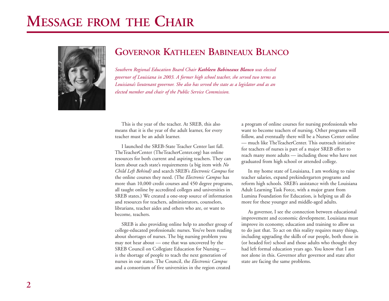# **MESSAGE FROM THE CHAIR**



# **GOVERNOR KATHLEEN BABINEAUX BLANCO**

*Southern Regional Education Board Chair Kathleen Babineaux Blanco was elected governor of Louisiana in 2003. A former high school teacher, she served two terms as Louisiana's lieutenant governor. She also has served the state as a legislator and as an elected member and chair of the Public Service Commission.*

This is the year of the teacher. At SREB, this also means that it is the year of the adult learner, for every teacher must be an adult learner.

I launched the SREB-State Teacher Center last fall. TheTeacherCenter (TheTeacherCenter.org) has online resources for both current and aspiring teachers. They can learn about each state's requirements (a big item with *No Child Left Behind)* and search SREB's *Electronic Campus* for the online courses they need. (The *Electronic Campus* has more than 10,000 credit courses and 450 degree programs, all taught online by accredited colleges and universities in SREB states.) We created a one-stop source of information and resources for teachers, administrators, counselors, librarians, teacher aides and others who are, or want to become, teachers.

SREB is also providing online help to another group of college-educated professionals: nurses. You've been reading about shortages of nurses. The big nursing problem you may not hear about — one that was uncovered by the SREB Council on Collegiate Education for Nursing is the shortage of people to teach the next generation of nurses in our states. The Council, the *Electronic Campus* and a consortium of five universities in the region created

a program of online courses for nursing professionals who want to become teachers of nursing. Other programs will follow, and eventually there will be a Nurses Center online — much like TheTeacherCenter. This outreach initiative for teachers of nurses is part of a major SREB effort to reach many more adults — including those who have not graduated from high school or attended college.

In my home state of Louisiana, I am working to raise teacher salaries, expand prekindergarten programs and reform high schools. SREB's assistance with the Louisiana Adult Learning Task Force, with a major grant from Lumina Foundation for Education, is helping us all do more for these younger and middle-aged adults.

As governor, I see the connection between educational improvement and economic development. Louisiana must improve its economy, education and training to allow us to do just that. To act on this reality requires many things, including upgrading the skills of our people, both those in (or headed for) school and those adults who thought they had left formal education years ago. You know that I am not alone in this. Governor after governor and state after state are facing the same problems.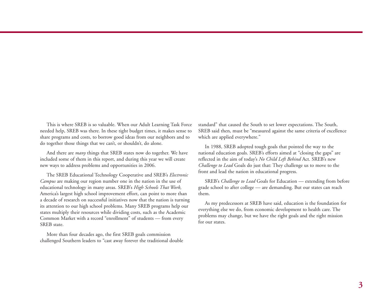This is where SREB is so valuable. When our Adult Learning Task Force needed help, SREB was there. In these tight budget times, it makes sense to share programs and costs, to borrow good ideas from our neighbors and to do together those things that we can't, or shouldn't, do alone.

And there are *many* things that SREB states now do together. We have included some of them in this report, and during this year we will create new ways to address problems and opportunities in 2006.

The SREB Educational Technology Cooperative and SREB's *Electronic Campus* are making our region number one in the nation in the use of educational technology in many areas. SREB's *High Schools That Work,* America's largest high school improvement effort, can point to more than a decade of research on successful initiatives now that the nation is turning its attention to our high school problems. Many SREB programs help our states multiply their resources while dividing costs, such as the Academic Common Market with a record "enrollment" of students — from every SREB state.

More than four decades ago, the first SREB goals commission challenged Southern leaders to "cast away forever the traditional double standard" that caused the South to set lower expectations. The South, SREB said then, must be "measured against the same criteria of excellence which are applied everywhere."

In 1988, SREB adopted tough goals that pointed the way to the national education goals. SREB's efforts aimed at "closing the gaps" are reflected in the aim of today's *No Child Left Behind* Act. SREB's new *Challenge to Lead* Goals do just that: They challenge us to move to the front and lead the nation in educational progress.

SREB's *Challenge to Lead* Goals for Education — extending from before grade school to after college — are demanding. But our states can reach them.

As my predecessors at SREB have said, education is the foundation for everything else we do, from economic development to health care. The problems may change, but we have the right goals and the right mission for our states.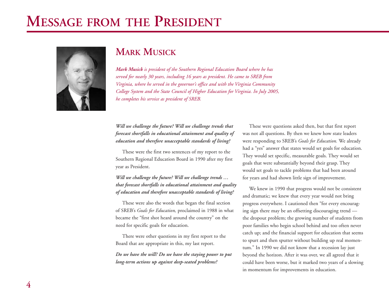# **MESSAGE FROM THE PRESIDENT**



# **MARK MUSICK**

*Mark Musick is president of the Southern Regional Education Board where he has served for nearly 30 years, including 16 years as president. He came to SREB from Virginia, where he served in the governor's office and with the Virginia Community College System and the State Council of Higher Education for Virginia. In July 2005, he completes his service as president of SREB.*

*Will we challenge the future? Will we challenge trends that forecast shortfalls in educational attainment and quality of education and therefore unacceptable standards of living?*

These were the first two sentences of my report to the Southern Regional Education Board in 1990 after my first year as President.

*Will we challenge the future? Will we challenge trends … that forecast shortfalls in educational attainment and quality of education and therefore unacceptable standards of living?*

These were also the words that began the final section of SREB's *Goals for Education,* proclaimed in 1988 in what became the "first shot heard around the country" on the need for specific goals for education.

There were other questions in my first report to the Board that are appropriate in this, my last report.

*Do we have the will? Do we have the staying power to put long-term actions up against deep-seated problems?*

These were questions asked then, but that first report was not all questions. By then we knew how state leaders were responding to SREB's *Goals for Education.* We already had a "yes" answer that states would set goals for education. They would set specific, measurable goals. They would set goals that were substantially beyond their grasp. They would set goals to tackle problems that had been around for years and had shown little sign of improvement.

We knew in 1990 that progress would not be consistent and dramatic; we knew that every year would not bring progress everywhere. I cautioned then "for every encouraging sign there may be an offsetting discouraging trend the dropout problem; the growing number of students from poor families who begin school behind and too often never catch up; and the financial support for education that seems to spurt and then sputter without building up real momentum." In 1990 we did not know that a recession lay just beyond the horizon. After it was over, we all agreed that it could have been worse, but it marked two years of a slowing in momentum for improvements in education.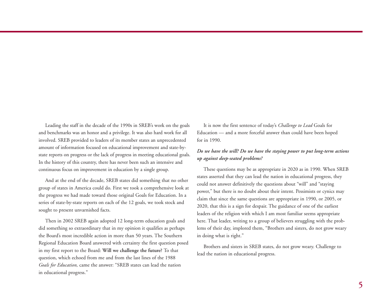Leading the staff in the decade of the 1990s in SREB's work on the goals and benchmarks was an honor and a privilege. It was also hard work for all involved. SREB provided to leaders of its member states an unprecedented amount of information focused on educational improvement and state-bystate reports on progress or the lack of progress in meeting educational goals. In the history of this country, there has never been such an intensive and continuous focus on improvement in education by a single group.

And at the end of the decade, SREB states did something that no other group of states in America could do. First we took a comprehensive look at the progress we had made toward those original Goals for Education. In a series of state-by-state reports on each of the 12 goals, we took stock and sought to present unvarnished facts.

Then in 2002 SREB again adopted 12 long-term education goals and did something so extraordinary that in my opinion it qualifies as perhaps the Board's most incredible action in more than 50 years. The Southern Regional Education Board answered with certainty the first question posed in my first report to the Board: **Will we challenge the future?** To that question, which echoed from me and from the last lines of the 1988 *Goals for Education,* came the answer: "SREB states can lead the nation in educational progress."

It is now the first sentence of today's *Challenge to Lead* Goals for Education — and a more forceful answer than could have been hoped for in 1990.

### *Do we have the will? Do we have the staying power to put long-term actions up against deep-seated problems?*

These questions may be as appropriate in 2020 as in 1990. When SREB states asserted that they can lead the nation in educational progress, they could not answer definitively the questions about "will" and "staying power," but there is no doubt about their intent. Pessimists or cynics may claim that since the same questions are appropriate in 1990, or 2005, or 2020, that this is a sign for despair. The guidance of one of the earliest leaders of the religion with which I am most familiar seems appropriate here. That leader, writing to a group of believers struggling with the problems of their day, implored them, "Brothers and sisters, do not grow weary in doing what is right."

Brothers and sisters in SREB states, do not grow weary. Challenge to lead the nation in educational progress.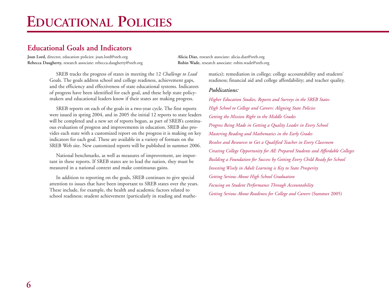# **EDUCATIONAL POLICIES**

# **Educational Goals and Indicators**

**Joan Lord,** director, education policies: joan.lord@sreb.org **Alicia Diaz,** research associate: alicia.diaz@sreb.org **Rebecca Daugherty,** research associate: rebecca.daugherty@sreb.org **Robin Wade,** research associate: robin.wade@sreb.org

SREB tracks the progress of states in meeting the 12 *Challenge to Lead* Goals. The goals address school and college readiness, achievement gaps, and the efficiency and effectiveness of state educational systems. Indicators of progress have been identified for each goal, and these help state policymakers and educational leaders know if their states are making progress.

SREB reports on each of the goals in a two-year cycle. The first reports were issued in spring 2004, and in 2005 the initial 12 reports to state leaders will be completed and a new set of reports begun, as part of SREB's continuous evaluation of progress and improvements in education. SREB also provides each state with a customized report on the progress it is making on key indicators for each goal. These are available in a variety of formats on the SREB Web site. New customized reports will be published in summer 2006.

National benchmarks, as well as measures of improvement, are important in these reports. If SREB states are to lead the nation, they must be measured in a national context and make continuous gains.

In addition to reporting on the goals, SREB continues to give special attention to issues that have been important to SREB states over the years. These include, for example, the health and academic factors related to school readiness; student achievement (particularly in reading and mathematics); remediation in college; college accountability and students' readiness; financial aid and college affordability; and teacher quality.

### *Publications:*

*Higher Education Studies, Reports and Surveys in the SREB States High School to College and Careers: Aligning State Policies Getting the Mission Right in the Middle Grades Progress Being Made in Getting a Quality Leader in Every School Mastering Reading and Mathematics in the Early Grades Resolve and Resources to Get a Qualified Teacher in Every Classroom Creating College Opportunity for All: Prepared Students and Affordable Colleges Building a Foundation for Success by Getting Every Child Ready for School Investing Wisely in Adult Learning is Key to State Prosperity Getting Serious About High School Graduation Focusing on Student Performance Through Accountability Getting Serious About Readiness for College and Careers* (Summer 2005)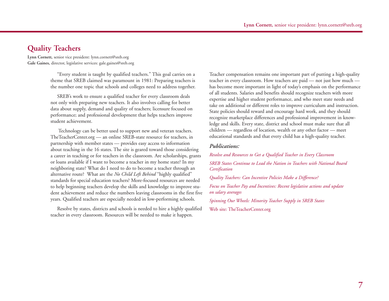# **Quality Teachers**

**Lynn Cornett,** senior vice president: lynn.cornett@sreb.org **Gale Gaines,** director, legislative services: gale.gaines@sreb.org

> "Every student is taught by qualified teachers." This goal carries on a theme that SREB claimed was paramount in 1981: Preparing teachers is the number one topic that schools and colleges need to address together.

SREB's work to ensure a qualified teacher for every classroom deals not only with preparing new teachers. It also involves calling for better data about supply, demand and quality of teachers; licensure focused on performance; and professional development that helps teachers improve student achievement.

Technology can be better used to support new and veteran teachers. TheTeacherCenter.org — an online SREB-state resource for teachers, in partnership with member states — provides easy access to information about teaching in the 16 states. The site is geared toward those considering a career in teaching or for teachers in the classroom. Are scholarships, grants or loans available if I want to become a teacher in my home state? In my neighboring state? What do I need to do to become a teacher through an alternative route? What are the *No Child Left Behind* "highly qualified" standards for special education teachers? More-focused resources are needed to help beginning teachers develop the skills and knowledge to improve student achievement and reduce the numbers leaving classrooms in the first five years. Qualified teachers are especially needed in low-performing schools.

Resolve by states, districts and schools is needed to hire a highly qualified teacher in every classroom. Resources will be needed to make it happen.

Teacher compensation remains one important part of putting a high-quality teacher in every classroom. How teachers are paid — not just how much has become more important in light of today's emphasis on the performance of all students. Salaries and benefits should recognize teachers with more expertise and higher student performance, and who meet state needs and take on additional or different roles to improve curriculum and instruction. State policies should reward and encourage hard work, and they should recognize marketplace differences and professional improvement in knowledge and skills. Every state, district and school must make sure that all children — regardless of location, wealth or any other factor — meet educational standards and that every child has a high-quality teacher.

#### *Publications:*

*Resolve and Resources to Get a Qualified Teacher in Every Classroom SREB States Continue to Lead the Nation in Teachers with National Board Certification* 

*Quality Teachers: Can Incentive Policies Make a Difference?*

*Focus on Teacher Pay and Incentives: Recent legislative actions and update on salary averages* 

*Spinning Our Wheels: Minority Teacher Supply in SREB States* 

Web site: TheTeacherCenter.org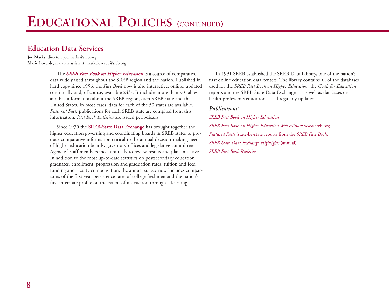# **Education Data Services**

**Joe Marks,** director: joe.marks@sreb.org **Marie Loverde,** research assistant: marie.loverde@sreb.org

> The *SREB Fact Book on Higher Education* is a source of comparative data widely used throughout the SREB region and the nation. Published in hard copy since 1956, the *Fact Book* now is also interactive, online, updated continually and, of course, available 24/7. It includes more than 90 tables and has information about the SREB region, each SREB state and the United States. In most cases, data for each of the 50 states are available. *Featured Facts* publications for each SREB state are compiled from this information. *Fact Book Bulletins* are issued periodically.

> Since 1970 the **SREB-State Data Exchange** has brought together the higher education governing and coordinating boards in SREB states to produce comparative information critical to the annual decision-making needs of higher education boards, governors' offices and legislative committees. Agencies' staff members meet annually to review results and plan initiatives. In addition to the most up-to-date statistics on postsecondary education graduates, enrollment, progression and graduation rates, tuition and fees, funding and faculty compensation, the annual survey now includes comparisons of the first-year persistence rates of college freshmen and the nation's first interstate profile on the extent of instruction through e-learning.

In 1991 SREB established the SREB Data Library, one of the nation's first online education data centers. The library contains all of the databases used for the *SREB Fact Book on Higher Education,* the *Goals for Education* reports and the SREB-State Data Exchange — as well as databases on health professions education — all regularly updated.

#### *Publications:*

*SREB Fact Book on Higher Education SREB Fact Book on Higher Education Web edition:* www.sreb.org *Featured Facts* (state-by-state reports from the *SREB Fact Book) SREB-State Data Exchange Highlights* (annual) *SREB Fact Book Bulletins*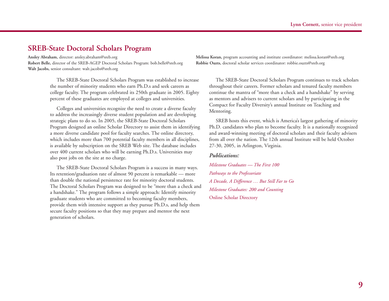# **SREB-State Doctoral Scholars Program**

**Ansley Abraham,** director: ansley.abraham@sreb.org **Melissa Koran,** program accounting and institute coordinator: melissa.koran@sreb.org **Robert Belle,** director of the SREB-AGEP Doctoral Scholars Program: bob.belle@sreb.org **Robbie Ouzts,** doctoral scholar services coordinator: robbie.ouzts@sreb.org **Walt Jacobs,** senior consultant: walt.jacobs@sreb.org

The SREB-State Doctoral Scholars Program was established to increase the number of minority students who earn Ph.D.s and seek careers as college faculty. The program celebrated its 250th graduate in 2005. Eighty percent of these graduates are employed at colleges and universities.

Colleges and universities recognize the need to create a diverse faculty to address the increasingly diverse student population and are developing strategic plans to do so. In 2005, the SREB-State Doctoral Scholars Program designed an online Scholar Directory to assist them in identifying a more diverse candidate pool for faculty searches. The online directory, which includes more than 700 potential faculty members in all disciplines, is available by subscription on the SREB Web site. The database includes over 400 current scholars who will be earning Ph.D.s. Universities may also post jobs on the site at no charge.

The SREB-State Doctoral Scholars Program is a success in many ways. Its retention/graduation rate of almost 90 percent is remarkable — more than double the national persistence rate for minority doctoral students. The Doctoral Scholars Program was designed to be "more than a check and a handshake." The program follows a simple approach: Identify minority graduate students who are committed to becoming faculty members, provide them with intensive support as they pursue Ph.D.s, and help them secure faculty positions so that they may prepare and mentor the next generation of scholars.

The SREB-State Doctoral Scholars Program continues to track scholars throughout their careers. Former scholars and tenured faculty members continue the mantra of "more than a check and a handshake" by serving as mentors and advisers to current scholars and by participating in the Compact for Faculty Diversity's annual Institute on Teaching and Mentoring.

SREB hosts this event, which is America's largest gathering of minority Ph.D. candidates who plan to become faculty. It is a nationally recognized and award-winning meeting of doctoral scholars and their faculty advisers from all over the nation. The 12th annual Institute will be held October 27-30, 2005, in Arlington, Virginia.

#### *Publications:*

*Milestone Graduates — The First 100 Pathways to the Professoriate A Decade, A Difference … But Still Far to Go Milestone Graduates: 200 and Counting*  Online Scholar Directory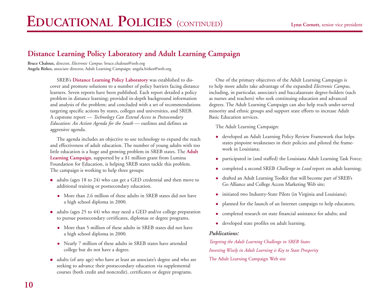# **Distance Learning Policy Laboratory and Adult Learning Campaign**

**Bruce Chaloux,** director, *Electronic Campus:* bruce.chaloux@sreb.org **Angela Birkes,** associate director, Adult Learning Campaign: angela.birkes@sreb.org

> SREB's **Distance Learning Policy Laboratory** was established to discover and promote solutions to a number of policy barriers facing distance learners. Seven reports have been published. Each report detailed a policy problem in distance learning; provided in-depth background information and analysis of the problem; and concluded with a set of recommendations targeting specific actions by states, colleges and universities, and SREB. A capstone report — *Technology Can Extend Access to Postsecondary Education: An Action Agenda for the South* — outlines and defines an aggressive agenda.

> The agenda includes an objective to use technology to expand the reach and effectiveness of adult education. The number of young adults with too little education is a huge and growing problem in SREB states. The **Adult Learning Campaign**, supported by a \$1 million grant from Lumina Foundation for Education, is helping SREB states tackle this problem. The campaign is working to help three groups:

- adults (ages 18 to 24) who can get a GED credential and then move to additional training or postsecondary education.
	- More than 2.6 million of these adults in SREB states did not have a high school diploma in 2000.
- adults (ages 25 to 44) who may need a GED and/or college preparation to pursue postsecondary certificates, diplomas or degree programs.
	- More than 5 million of these adults in SREB states did not have a high school diploma in 2000.
	- Nearly 7 million of these adults in SREB states have attended college but do not have a degree.
- adults (of any age) who have at least an associate's degree and who are seeking to advance their postsecondary education via supplemental courses (both credit and noncredit), certificates or degree programs.

One of the primary objectives of the Adult Learning Campaign is to help more adults take advantage of the expanded *Electronic Campus,* including, in particular, associate's and baccalaureate degree-holders (such as nurses and teachers) who seek continuing education and advanced degrees. The Adult Learning Campaign can also help reach under-served minority and ethnic groups and support state efforts to increase Adult Basic Education services.

The Adult Learning Campaign:

- developed an Adult Learning Policy Review Framework that helps states pinpoint weaknesses in their policies and piloted the framework in Louisiana;
- participated in (and staffed) the Louisiana Adult Learning Task Force;
- completed a second SREB *Challenge to Lead* report on adult learning;
- drafted an Adult Learning Toolkit that will become part of SREB's Go Alliance and College Access Marketing Web site;
- initiated two Industry-State Pilots (in Virginia and Louisiana);
- planned for the launch of an Internet campaign to help educators;
- completed research on state financial assistance for adults; and
- developed state profiles on adult learning.

#### *Publications:*

*Targeting the Adult Learning Challenge in SREB States Investing Wisely in Adult Learning is Key to State Prosperity*  The Adult Learning Campaign Web site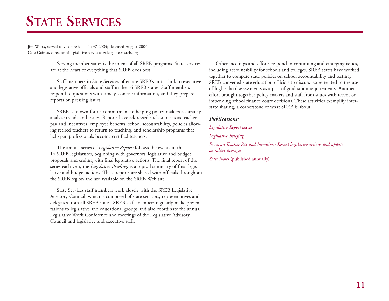# **STATE SERVICES**

**Jim Watts,** served as vice president 1997-2004; deceased August 2004. **Gale Gaines,** director of legislative services: gale.gaines@sreb.org

> Serving member states is the intent of all SREB programs. State services are at the heart of everything that SREB does best.

> Staff members in State Services often are SREB's initial link to executive and legislative officials and staff in the 16 SREB states. Staff members respond to questions with timely, concise information, and they prepare reports on pressing issues.

> SREB is known for its commitment to helping policy-makers accurately analyze trends and issues. Reports have addressed such subjects as teacher pay and incentives, employee benefits, school accountability, policies allowing retired teachers to return to teaching, and scholarship programs that help paraprofessionals become certified teachers.

> The annual series of *Legislative Reports* follows the events in the 16 SREB legislatures, beginning with governors' legislative and budget proposals and ending with final legislative actions. The final report of the series each year, the *Legislative Briefing,* is a topical summary of final legislative and budget actions. These reports are shared with officials throughout the SREB region and are available on the SREB Web site.

> State Services staff members work closely with the SREB Legislative Advisory Council, which is composed of state senators, representatives and delegates from all SREB states. SREB staff members regularly make presentations to legislative and educational groups and also coordinate the annual Legislative Work Conference and meetings of the Legislative Advisory Council and legislative and executive staff.

Other meetings and efforts respond to continuing and emerging issues, including accountability for schools and colleges. SREB states have worked together to compare state policies on school accountability and testing. SREB convened state education officials to discuss issues related to the use of high school assessments as a part of graduation requirements. Another effort brought together policy-makers and staff from states with recent or impending school finance court decisions. These activities exemplify interstate sharing, a cornerstone of what SREB is about.

#### *Publications:*

*Legislative Report* series *Legislative Briefing Focus on Teacher Pay and Incentives: Recent legislative actions and update on salary averages*

*State Notes* (published annually)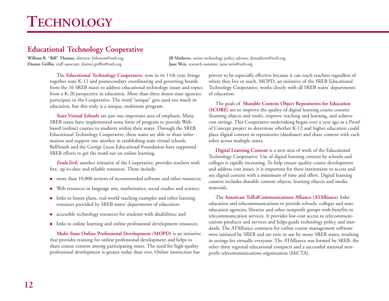# **Educational Technology Cooperative**

**Dianne Griffin,** staff associate: dianne.griffin@sreb.org **June Weis,** research assistant: june.weis@sreb.org

**William R. "Bill" Thomas,** director: bthomas@sreb.org **JB Mathews,** senior technology policy advisor: jbmathews@sreb.org

The **Educational Technology Cooperative,** now in its 11th year, brings together state K-12 and postsecondary coordinating and governing boards from the 16 SREB states to address educational technology issues and topics from a K-20 perspective in education. More than three dozen state agencies participate in the Cooperative. The word "unique" gets used too much in education, but this truly is a unique, multistate program.

**State Virtual Schools** are just one important area of emphasis. Many SREB states have implemented some form of program to provide Webbased (online) courses to students within their states. Through the SREB Educational Technology Cooperative, these states are able to share information and support one another in establishing state virtual schools. BellSouth and the George Lucas Educational Foundation have supported SREB efforts to get the word out on online learning.

*EvaluTech,* another initiative of the Cooperative, provides teachers with free, up-to-date and reliable resources. These include:

- more than 10,000 reviews of recommended software and other resources;
- Web resources in language arts, mathematics, social studies and science;
- links to lesson plans, real-world teaching examples and other learning resources provided by SREB states' departments of education;
- accessible technology resources for students with disabilities; and
- links to online learning and online professional development resources.

**Multi-State Online Professional Development (MOPD)** is an initiative that provides training for online professional development and helps to share course content among participating states. The need for high-quality professional development is greater today than ever. Online instruction has

proven to be especially effective because it can reach teachers regardless of where they live or teach. MOPD, an initiative of the SREB Educational Technology Cooperative, works closely with all SREB states' departments of education.

The goals of **Sharable Content Object Repositories for Education (SCORE)** are to improve the quality of digital learning course content (learning objects and tools), improve teaching and learning, and achieve cost savings. This Cooperative undertaking began over a year ago as a Proof of Concept project to determine whether K-12 and higher education could <sup>p</sup>lace digital content in repositories (databases) and share content with each other across multiple states.

**Digital Learning Content** is a new area of work of the Educational Technology Cooperative. Use of digital learning content by schools and colleges is rapidly increasing. To help ensure quality course development and address cost issues, it is important for these institutions to access and use digital content with a minimum of time and effort. Digital learning content includes sharable content objects, learning objects and media materials.

The **American TelEdCommunications Alliance (ATAlliance)** links education and telecommunications to provide schools, colleges and state education agencies, libraries and other nonprofit groups with benefits in telecommunication services. It provides low-cost access to telecommunications products and services and helps guide technology policy and standards. The ATAlliance contracts for online course management software were initiated by SREB and are now in use by many SREB states, resulting in savings for virtually everyone. The ATAlliance was formed by SREB, the other three regional educational compacts and a successful national nonprofit telecommunications organization (MiCTA).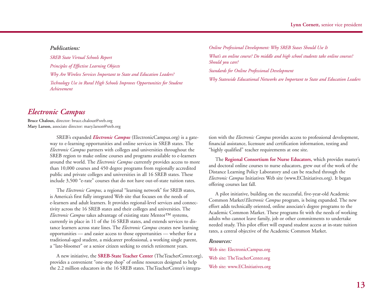#### *Publications:*

*SREB State Virtual Schools Report Principles of Effective Learning Objects Why Are Wireless Services Important to State and Education Leaders? Technology Use in Rural High Schools Improves Opportunities for Student Achievement*

*Online Professional Development: Why SREB Stases Should Use It What's an online course? Do middle and high school students take online courses? Should you care? Standards for Online Professional Development Why Statewide Educational Networks are Important to State and Education Leaders*

# *Electronic Campus*

**Bruce Chaloux,** director: bruce.chaloux@sreb.org **Mary Larson,** associate director: mary.larson@sreb.org

> SREB's expanded *Electronic Campus* (ElectronicCampus.org) is a gateway to e-learning opportunities and online services in SREB states. The *Electronic Campus* partners with colleges and universities throughout the SREB region to make online courses and programs available to e-learners around the world. The *Electronic Campus* currently provides access to more than 10,000 courses and 450 degree programs from regionally accredited public and private colleges and universities in all 16 SREB states. These include 3,500 "e-rate" courses that do not have out-of-state tuition rates.

The *Electronic Campus,* a regional "learning network" for SREB states, is America's first fully integrated Web site that focuses on the needs of e-learners and adult learners. It provides regional-level services and connectivity across the 16 SREB states and their colleges and universities. The *Electronic Campus* takes advantage of existing state Mentor™ systems, currently in place in 11 of the 16 SREB states, and extends services to distance learners across state lines. The *Electronic Campus* creates new learning opportunities — and easier access to those opportunities — whether for a traditional-aged student, a midcareer professional, a working single parent, <sup>a</sup>"late-bloomer" or a senior citizen seeking to enrich retirement years.

A new initiative, the **SREB-State Teacher Center** (TheTeacherCenter.org), provides a convenient "one-stop shop" of online resources designed to help the 2.2 million educators in the 16 SREB states. TheTeacherCenter's integration with the *Electronic Campus* provides access to professional development, financial assistance, licensure and certification information, testing and "highly qualified" teacher requirements at one site. The **Regional Consortium for Nurse Educators,** which provides master's

and doctoral online courses to nurse educators, grew out of the work of the Distance Learning Policy Laboratory and can be reached through the *Electronic Campus* Initiatives Web site (www.ECInitiatives.org). It began offering courses last fall.

A pilot initiative, building on the successful, five-year-old Academic Common Market/*Electronic Campus* program, is being expanded. The new effort adds technically oriented, online associate's degree programs to the Academic Common Market. These programs fit with the needs of working adults who cannot leave family, job or other commitments to undertake needed study. This pilot effort will expand student access at in-state tuition rates, a central objective of the Academic Common Market.

#### *Resources:*

Web site: ElectronicCampus.org Web site: TheTeacherCenter.org Web site: www.ECInitiatives.org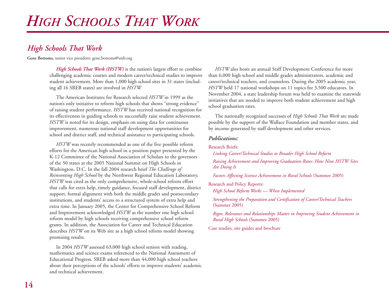# *High Schools That Work*

**Gene Bottoms,** senior vice president: gene.bottoms@sreb.org

*High Schools That Work (HSTW)* is the nation's largest effort to combine challenging academic courses and modern career/technical studies to improve student achievement. More than 1,000 high school sites in 31 states (including all 16 SREB states) are involved in *HSTW.*

The American Institutes for Research selected *HSTW* in 1999 as the nation's only initiative to reform high schools that shows "strong evidence" of raising student performance. *HSTW* has received national recognition for its effectiveness in guiding schools to successfully raise student achievement. *HSTW* is noted for its design, emphasis on using data for continuous improvement, numerous national staff development opportunities for school and district staff, and technical assistance to participating schools.

*HSTW* was recently recommended as one of the five possible reform efforts for the American high school in a position paper presented by the K-12 Committee of the National Association of Scholars to the governors of the 50 states at the 2005 National Summit on High Schools in Washington, D.C. In the fall 2004 research brief *The Challenge of Reinventing High School* by the Northwest Regional Education Laboratory, *HSTW* was cited as the only comprehensive, whole-school reform effort that calls for extra help, timely guidance, focused staff development, district support, formal alignment with both the middle grades and postsecondary institutions, and students' access to a structured system of extra help and extra time. In January 2005, the Center for Comprehensive School Reform and Improvement acknowledged *HSTW* as the number one high school reform model by high schools receiving comprehensive school reform grants. In addition, the Association for Career and Technical Education describes *HSTW* on its Web site as a high school reform model showing promising results.

In 2004 *HSTW* assessed 63,000 high school seniors with reading, mathematics and science exams referenced to the National Assessment of Educational Progress. SREB asked more than 44,000 high school teachers about their perceptions of the schools' efforts to improve students' academic and technical achievement.

*HSTW* also hosts an annual Staff Development Conference for more than 6,000 high school and middle grades administrators, academic and career/technical teachers, and counselors. During the 2005 academic year, *HSTW* held 17 national workshops on 11 topics for 3,500 educators. In November 2004, a state leadership forum was held to examine the statewide initiatives that are needed to improve both student achievement and high school graduation rates.

The nationally recognized successes of *High Schools That Work* are made possible by the support of the Wallace Foundation and member states, and by income generated by staff development and other services.

### *Publications:*

#### Research Briefs:

*Linking Career/Technical Studies to Broader High School Reform Raising Achievement and Improving Graduation Rates: How Nine HSTW Sites Are Doing It*

*Factors Affecting Science Achievement in Rural Schools* (Summer 2005)

Research and Policy Reports: *High School Reform Works — When Implemented*

*Strengthening the Preparation and Certification of Career/Technical Teachers* (Summer 2005)

*Rigor, Relevance and Relationships Matter in Improving Student Achievement in Rural High Schools* (Summer 2005)

Case studies, site guides and brochure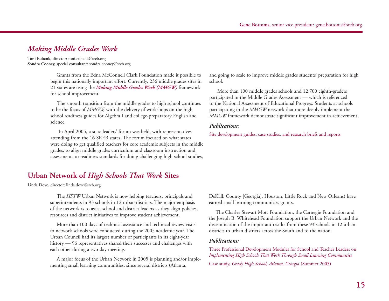# *Making Middle Grades Work*

**Toni Eubank,** director: toni.eubank@sreb.org **Sondra Cooney,** special consultant: sondra.cooney@sreb.org

> Grants from the Edna McConnell Clark Foundation made it possible to begin this nationally important effort. Currently, 236 middle grades sites in 21 states are using the *Making Middle Grades Work (MMGW)* framework for school improvement.

> The smooth transition from the middle grades to high school continues to be the focus of *MMGW,* with the delivery of workshops on the high school readiness guides for Algebra I and college-preparatory English and science.

In April 2005, a state leaders' forum was held, with representatives attending from the 16 SREB states. The forum focused on what states were doing to get qualified teachers for core academic subjects in the middle grades, to align middle grades curriculum and classroom instruction and assessments to readiness standards for doing challenging high school studies,

# **Urban Network of** *High Schools That Work* **Sites**

**Linda Dove,** director: linda.dove@sreb.org

The *HSTW* Urban Network is now helping teachers, principals and superintendents in 93 schools in 12 urban districts. The major emphasis of the network is to assist school and district leaders as they align policies, resources and district initiatives to improve student achievement.

More than 100 days of technical assistance and technical review visits to network schools were conducted during the 2005 academic year. The Urban Council had its largest number of participants in its eight-year history — 96 representatives shared their successes and challenges with each other during a two-day meeting.

A major focus of the Urban Network in 2005 is planning and/or implementing small learning communities, since several districts (Atlanta,

and going to scale to improve middle grades students' preparation for high school.

More than 100 middle grades schools and 12,700 eighth-graders participated in the Middle Grades Assessment — which is referenced to the National Assessment of Educational Progress. Students at schools participating in the *MMGW* network that more deeply implement the *MMGW* framework demonstrate significant improvement in achievement.

#### *Publications:*

Site development guides, case studies, and research briefs and reports

DeKalb County [Georgia], Houston, Little Rock and New Orleans) have earned small learning-communities grants.

The Charles Stewart Mott Foundation, the Carnegie Foundation and the Joseph B. Whitehead Foundation support the Urban Network and the dissemination of the important results from these 93 schools in 12 urban districts to urban districts across the South and to the nation.

#### *Publications:*

Three Professional Development Modules for School and Teacher Leaders on *Implementing High Schools That Work Through Small Learning Communities* 

Case study, *Grady High School, Atlanta, Georgia* (Summer 2005)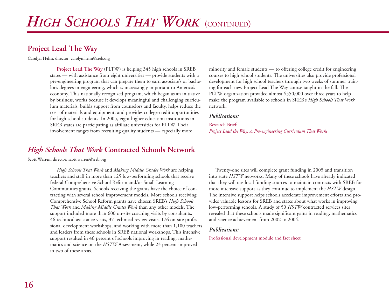# **Project Lead The Way**

**Carolyn Helm,** director: carolyn.helm@sreb.org

**Project Lead The Way** (PLTW) is helping 345 high schools in SREB states — with assistance from eight universities — provide students with a pre-engineering program that can prepare them to earn associate's or bachelor's degrees in engineering, which is increasingly important to America's economy. This nationally recognized program, which began as an initiative by business, works because it develops meaningful and challenging curriculum materials, builds support from counselors and faculty, helps reduce the cost of materials and equipment, and provides college-credit opportunities for high school students. In 2005, eight higher education institutions in SREB states are participating as affiliate universities for PLTW. Their involvement ranges from recruiting quality students — especially more

# *High Schools That Work* **Contracted Schools Network**

**Scott Warren,** director: scott.warren@sreb.org

*High Schools That Work* and *Making Middle Grades Work* are helping teachers and staff in more than 125 low-performing schools that receive federal Comprehensive School Reform and/or Small Learning-Communities grants. Schools receiving the grants have the choice of contracting with several school improvement models. More schools receiving Comprehensive School Reform grants have chosen SREB's *High Schools That Work* and *Making Middle Grades Work* than any other models. The support included more than 600 on-site coaching visits by consultants, 46 technical assistance visits, 37 technical review visits, 176 on-site professional development workshops, and working with more than 1,100 teachers and leaders from these schools in SREB national workshops. This intensive support resulted in 46 percent of schools improving in reading, mathematics and science on the *HSTW* Assessment, while 23 percent improved in two of these areas.

minority and female students — to offering college credit for engineering courses to high school students. The universities also provide professional development for high school teachers through two weeks of summer training for each new Project Lead The Way course taught in the fall. The PLTW organization provided almost \$550,000 over three years to help make the program available to schools in SREB's *High Schools That Work* network.

#### *Publications:*

### Research Brief: *Project Lead the Way: A Pre-engineering Curriculum That Works*

Twenty-one sites will complete grant funding in 2005 and transition into state *HSTW* networks. Many of these schools have already indicated that they will use local funding sources to maintain contracts with SREB for more intensive support as they continue to implement the *HSTW* design. The intensive support helps schools accelerate improvement efforts and provides valuable lessons for SREB and states about what works in improving low-performing schools. A study of 50 *HSTW* contracted services sites revealed that these schools made significant gains in reading, mathematics and science achievement from 2002 to 2004.

#### *Publications:*

Professional development module and fact sheet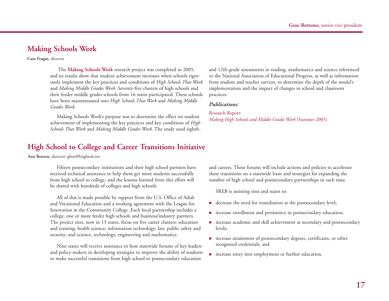# **Making Schools Work**

**Caro Feagin,** director

The **Making Schools Work** research project was completed in 2005, and its results show that student achievement increases when schools rigorously implement the key practices and conditions of *High Schools That Work* and *Making Middle Grades Work.* Seventy-five clusters of high schools and their feeder middle grades schools from 16 states participated. These schools have been mainstreamed into *High Schools That Work* and *Making Middle Grades Work.*

Making Schools Work's purpose was to determine the effect on student achievement of implementing the key practices and key conditions of *High Schools That Work* and *Making Middle Grades Work.* The study used eighth-

# **High School to College and Career Transitions Initiative**

**Ann Benson,** director: gben@brightok.net

Fifteen postsecondary institutions and their high school partners have received technical assistance to help them get more students successfully from high school to college, and the lessons learned from this effort will be shared with hundreds of colleges and high schools.

All of this is made possible by support from the U.S. Office of Adult and Vocational Education and a working agreement with the League for Innovation in the Community College. Each local partnership includes a college, one or more feeder high schools and business/industry partners. The project sites, now in 13 states, focus on five career clusters: education and training; health science; information technology; law, public safety and security; and science, technology, engineering and mathematics.

Nine states will receive assistance to host statewide forums of key leaders and policy-makers in developing strategies to improve the ability of students to make successful transitions from high school to postsecondary education

and 12th-grade assessments in reading, mathematics and science referenced to the National Association of Educational Progress, as well as information from student and teacher surveys, to determine the depth of the model's implementation and the impact of changes in school and classroom practices.

#### *Publications:*

Research Report: *Making High Schools and Middle Grades Work* (Summer 2005)

and careers. These forums will include actions and policies to accelerate these transitions on a statewide basis and strategies for expanding the number of high school and postsecondary partnerships in each state.

SREB is assisting sites and states to:

- decrease the need for remediation at the postsecondary level;
- **n** increase enrollment and persistence in postsecondary education;
- **n** increase academic and skill achievement at secondary and postsecondary levels;
- **n** increase attainment of postsecondary degrees, certificates, or other recognized credentials; and
- **n** increase entry into employment or further education.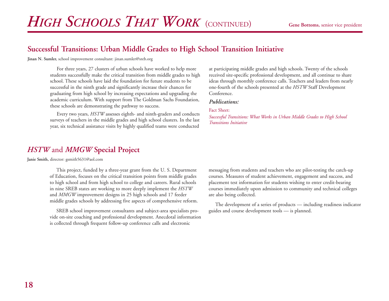# **Successful Transitions: Urban Middle Grades to High School Transition Initiative**

**Jinan N. Sumler,** school improvement consultant: jinan.sumler@sreb.org

For three years, 27 clusters of urban schools have worked to help more students successfully make the critical transition from middle grades to high school. These schools have laid the foundation for future students to be successful in the ninth grade and significantly increase their chances for graduating from high school by increasing expectations and upgrading the academic curriculum. With support from The Goldman Sachs Foundation, these schools are demonstrating the pathway to success.

Every two years, *HSTW* assesses eighth- and ninth-graders and conducts surveys of teachers in the middle grades and high school clusters. In the last year, six technical assistance visits by highly qualified teams were conducted

*HSTW* and *MMGW* **Special Project**

**Janie Smith,** director: gsmith5631@aol.com

This project, funded by a three-year grant from the U. S. Department of Education, focuses on the critical transition points from middle grades to high school and from high school to college and careers. Rural schools in nine SREB states are working to more deeply implement the *HSTW* and *MMGW* improvement designs in 25 high schools and 17 feeder middle grades schools by addressing five aspects of comprehensive reform.

SREB school improvement consultants and subject-area specialists provide on-site coaching and professional development. Anecdotal information is collected through frequent follow-up conference calls and electronic

at participating middle grades and high schools. Twenty of the schools received site-specific professional development, and all continue to share ideas through monthly conference calls. Teachers and leaders from nearly one-fourth of the schools presented at the *HSTW* Staff Development Conference.

#### *Publications:*

#### Fact Sheet:

*Successful Transitions: What Works in Urban Middle Grades to High School Transitions Initiative* 

messaging from students and teachers who are pilot-testing the catch-up courses. Measures of student achievement, engagement and success, and <sup>p</sup>lacement test information for students wishing to enter credit-bearing courses immediately upon admission to community and technical colleges are also being collected.

The development of a series of products — including readiness indicator guides and course development tools — is planned.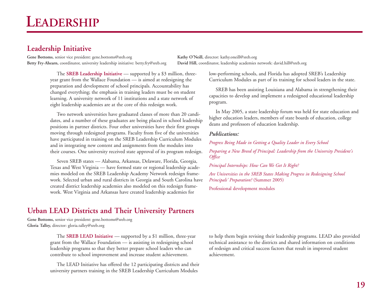# **Leadership Initiative**

**Gene Bottoms,** senior vice president: gene.bottoms@sreb.org **Kathy O'Neill,** director: kathy.oneill@sreb.org **Betty Fry-Ahearn,** coordinator, university leadership initiative: betty.fry@sreb.org **David Hill,** coordinator, leadership academies network: david.hill@sreb.org

The **SREB Leadership Initiative** — supported by a \$3 million, threeyear grant from the Wallace Foundation — is aimed at redesigning the preparation and development of school principals. Accountability has changed everything; the emphasis in training leaders must be on student learning. A university network of 11 institutions and a state network of eight leadership academies are at the core of this redesign work.

Two network universities have graduated classes of more than 20 candidates, and a number of these graduates are being placed in school leadership positions in partner districts. Four other universities have their first groups moving through redesigned programs. Faculty from five of the universities have participated in training on the SREB Leadership Curriculum Modules and in integrating new content and assignments from the modules into their courses. One university received state approval of its program redesign.

Seven SREB states — Alabama, Arkansas, Delaware, Florida, Georgia, Texas and West Virginia — have formed state or regional leadership academies modeled on the SREB Leadership Academy Network redesign framework. Selected urban and rural districts in Georgia and South Carolina have created district leadership academies also modeled on this redesign framework. West Virginia and Arkansas have created leadership academies for

**Urban LEAD Districts and Their University Partners**

**Gene Bottoms,** senior vice president: gene.bottoms@sreb.org **Gloria Talley,** director: gloria.talley@sreb.org

> The **SREB LEAD Initiative** — supported by a \$1 million, three-year grant from the Wallace Foundation — is assisting in redesigning school leadership programs so that they better prepare school leaders who can contribute to school improvement and increase student achievement.

The LEAD Initiative has offered the 12 participating districts and their university partners training in the SREB Leadership Curriculum Modules

low-performing schools, and Florida has adopted SREB's Leadership Curriculum Modules as part of its training for school leaders in the state.

SREB has been assisting Louisiana and Alabama in strengthening their capacities to develop and implement a redesigned educational leadership program.

In May 2005, a state leadership forum was held for state education and higher education leaders, members of state boards of education, college deans and professors of education leadership.

#### *Publications:*

*Progress Being Made in Getting a Quality Leader in Every School* 

*Preparing a New Breed of Principal: Leadership from the University President's Office*

*Principal Internships: How Can We Get It Right?* 

*Are Universities in the SREB States Making Progress in Redesigning School Principals' Preparation?* (Summer 2005)

Professional development modules

to help them begin revising their leadership programs. LEAD also provided technical assistance to the districts and shared information on conditions of redesign and critical success factors that result in improved student achievement.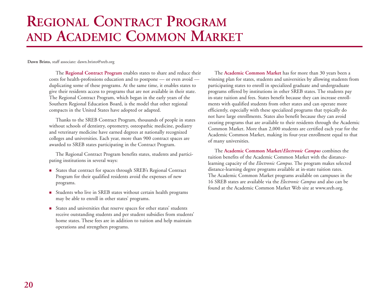# **REGIONAL CONTRACT PROGRAM AND ACADEMIC COMMON MARKET**

**Dawn Bristo,** staff associate: dawn.bristo@sreb.org

The **Regional Contract Program** enables states to share and reduce their costs for health-professions education and to postpone — or even avoid duplicating some of these programs. At the same time, it enables states to <sup>g</sup>ive their residents access to programs that are not available in their state. The Regional Contract Program, which began in the early years of the Southern Regional Education Board, is the model that other regional compacts in the United States have adopted or adapted.

Thanks to the SREB Contract Program, thousands of people in states without schools of dentistry, optometry, osteopathic medicine, podiatry and veterinary medicine have earned degrees at nationally recognized colleges and universities. Each year, more than 900 contract spaces are awarded to SREB states participating in the Contract Program.

The Regional Contract Program benefits states, students and participating institutions in several ways:

- States that contract for spaces through SREB's Regional Contract Program for their qualified residents avoid the expenses of new programs.
- Students who live in SREB states without certain health programs may be able to enroll in other states' programs.
- States and universities that reserve spaces for other states' students receive outstanding students and per student subsidies from students' home states. These fees are in addition to tuition and help maintain operations and strengthen programs.

The **Academic Common Market** has for more than 30 years been a winning plan for states, students and universities by allowing students from participating states to enroll in specialized graduate and undergraduate programs offered by institutions in other SREB states. The students pay in-state tuition and fees. States benefit because they can increase enrollments with qualified students from other states and can operate more efficiently, especially with these specialized programs that typically do not have large enrollments. States also benefit because they can avoid creating programs that are available to their residents through the Academic Common Market. More than 2,000 students are certified each year for the Academic Common Market, making its four-year enrollment equal to that of many universities.

The **Academic Common Market/***Electronic Campus* combines the tuition benefits of the Academic Common Market with the distancelearning capacity of the *Electronic Campus.* The program makes selected distance-learning degree programs available at in-state tuition rates. The Academic Common Market programs available on campuses in the 16 SREB states are available via the *Electronic Campus* and also can be found at the Academic Common Market Web site at www.sreb.org.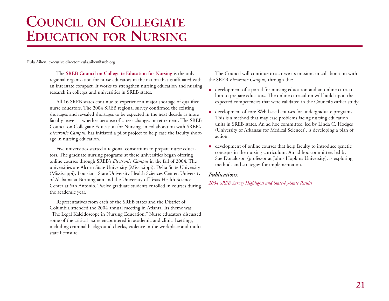# **COUNCIL ON COLLEGIATE EDUCATION FOR NURSING**

**Eula Aiken,** executive director: eula.aiken@sreb.org

The **SREB Council on Collegiate Education for Nursing** is the only regional organization for nurse educators in the nation that is affiliated with an interstate compact. It works to strengthen nursing education and nursing research in colleges and universities in SREB states.

All 16 SREB states continue to experience a major shortage of qualified nurse educators. The 2004 SREB regional survey confirmed the existing shortages and revealed shortages to be expected in the next decade as more faculty leave — whether because of career changes or retirement. The SREB Council on Collegiate Education for Nursing, in collaboration with SREB's *Electronic Campus,* has initiated a pilot project to help ease the faculty shortage in nursing education.

Five universities started a regional consortium to prepare nurse educators. The graduate nursing programs at these universities began offering online courses through SREB's *Electronic Campus* in the fall of 2004. The universities are Alcorn State University (Mississippi), Delta State University (Mississippi), Louisiana State University Health Sciences Center, University of Alabama at Birmingham and the University of Texas Health Science Center at San Antonio. Twelve graduate students enrolled in courses during the academic year.

Representatives from each of the SREB states and the District of Columbia attended the 2004 annual meeting in Atlanta. Its theme was "The Legal Kaleidoscope in Nursing Education." Nurse educators discussed some of the critical issues encountered in academic and clinical settings, including criminal background checks, violence in the workplace and multistate licensure.

The Council will continue to achieve its mission, in collaboration with the SREB *Electronic Campus,* through the:

- development of a portal for nursing education and an online curriculum to prepare educators. The online curriculum will build upon the expected competencies that were validated in the Council's earlier study.
- development of core Web-based courses for undergraduate programs. This is a method that may ease problems facing nursing education units in SREB states. An ad hoc committee, led by Linda C. Hodges (University of Arkansas for Medical Sciences), is developing a plan of action.
- development of online courses that help faculty to introduce genetic concepts in the nursing curriculum. An ad hoc committee, led by Sue Donaldson (professor at Johns Hopkins University), is exploring methods and strategies for implementation.

#### *Publications:*

#### *2004 SREB Survey Highlights and State-by-State Results*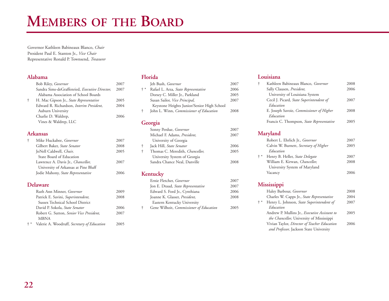# **MEMBERS OF THE BOARD**

Governor Kathleen Babineaux Blanco, *Chair* President Paul E. Stanton Jr., *Vice Chair* Representative Ronald P. Townsend, *Treasurer*

### **Alabama**

|            | Bob Riley, Governor                            | 2007 |
|------------|------------------------------------------------|------|
|            | Sandra Sims-deGraffenried, Executive Director, | 2007 |
|            | Alabama Association of School Boards           |      |
| $\ddagger$ | H. Mac Gipson Jr., State Representative        | 2005 |
|            | Edward R. Richardson, Interim President,       | 2004 |
|            | Auburn University                              |      |
|            | Charlie D. Waldrep,                            | 2006 |
|            | Vines & Waldrep, LLC                           |      |
|            |                                                |      |

### **Arkansas**

| $\ddagger$ | Mike Huckabee, <i>Governor</i>             | 2007 |
|------------|--------------------------------------------|------|
|            | Gilbert Baker, State Senator               | 2008 |
|            | JoNell Caldwell, Chair,                    | 2005 |
|            | State Board of Education                   |      |
|            | Lawrence A. Davis Jr., <i>Chancellor</i> , | 2007 |
|            | University of Arkansas at Pine Bluff       |      |
|            | Jodie Mahony, State Representative         | 2006 |
|            |                                            |      |

### **Delaware**

|       | Ruth Ann Minner, Governor                   | 2009 |
|-------|---------------------------------------------|------|
|       | Patrick E. Savini, Superintendent,          | 2008 |
|       | Sussex Technical School District            |      |
|       | David P. Sokola, State Senator              | 2006 |
|       | Robert G. Sutton, Senior Vice President,    | 2007 |
|       | <b>MBNA</b>                                 |      |
| $+ *$ | Valerie A. Woodruff, Secretary of Education | 2005 |
|       |                                             |      |

### **Florida**

|       | Jeb Bush, Governor                             | 2007 |
|-------|------------------------------------------------|------|
| $+ *$ | Rafael L. Arza, State Representative           | 2006 |
|       | Dorsey C. Miller Jr., Parkland                 | 2005 |
|       | Susan Sailor, Vice Principal,                  | 2007 |
|       | Keystone Heights Junior/Senior High School     |      |
| ÷     | John L. Winn, <i>Commissioner of Education</i> | 2008 |
|       |                                                |      |

# **Georgia**

|   | Sonny Perdue, Governor          | 2007 |
|---|---------------------------------|------|
|   | Michael F. Adams, President,    | 2007 |
|   | University of Georgia           |      |
| t | Jack Hill, State Senator        | 2006 |
| t | Thomas C. Meredith, Chancellor, | 2005 |
|   | University System of Georgia    |      |
|   | Sandra Chance Neal, Danville    | 2008 |

# **Kentucky**

| Ernie Fletcher, Governor                | 2007 |
|-----------------------------------------|------|
| Jon E. Draud, State Representative      | 2007 |
| Edward S. Ford Jr., Cynthiana           | 2006 |
| Joanne K. Glasser, <i>President</i> ,   | 2008 |
| Eastern Kentucky University             |      |
| Gene Wilhoit, Commissioner of Education | 2005 |
|                                         |      |

# **Louisiana**

| Kathleen Babineaux Blanco, Governor       | 2008 |
|-------------------------------------------|------|
| Sally Clausen, President,                 | 2006 |
| University of Louisiana System            |      |
| Cecil J. Picard, State Superintendent of  | 2007 |
| Education                                 |      |
| E. Joseph Savoie, Commissioner of Higher  | 2008 |
| Education                                 |      |
| Francis C. Thompson, State Representative | 2005 |
|                                           |      |

# **Maryland**

|       | Robert L. Ehrlich Jr., Governor        | 2007 |
|-------|----------------------------------------|------|
|       | Calvin W. Burnett, Secretary of Higher | 2005 |
|       | Education                              |      |
| $+ *$ | Henry B. Heller, State Delegate        | 2007 |
|       | William E. Kirwan, Chancellor,         | 2008 |
|       | University System of Maryland          |      |
|       | Vacancy                                | 2006 |
|       |                                        |      |

## **Mississippi**

|       | Haley Barbour, Governor                       | 2008 |
|-------|-----------------------------------------------|------|
|       | Charles W. Capps Jr., State Representative    | 2004 |
| $+ *$ | Henry L. Johnson, State Superintendent of     | 2007 |
|       | Education                                     |      |
|       | Andrew P. Mullins Jr., Executive Assistant to | 2005 |
|       | the Chancellor, University of Mississippi     |      |
|       | Vivian Taylor, Director of Teacher Education  | 2006 |
|       | and Professor, Jackson State University       |      |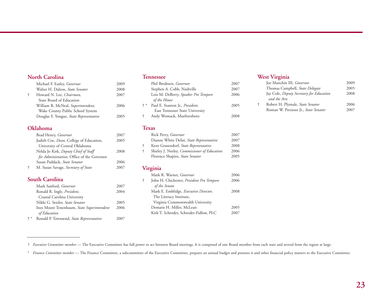# **North Carolina**

|   | Michael F. Easley, Governor             | 2009 |
|---|-----------------------------------------|------|
|   | Walter H. Dalton, State Senator         | 2008 |
| ÷ | Howard N. Lee, Chairman,                | 2007 |
|   | State Board of Education                |      |
|   | William R. McNeal, Superintendent,      | 2006 |
|   | Wake County Public School System        |      |
|   | Douglas Y. Yongue, State Representative | 2005 |
|   |                                         |      |

# **Oklahoma**

| Brad Henry, Governor                       | 2007 |
|--------------------------------------------|------|
| Judith Coe, Dean, College of Education,    | 2005 |
| University of Central Oklahoma             |      |
| Nelda Jo Kirk, Deputy Chief of Staff       | 2008 |
| for Administration, Office of the Governor |      |
| Susan Paddack, State Senator               | 2006 |
| M. Susan Savage, Secretary of State        | 2007 |

# **South Carolina**

|       | Mark Sanford, Governor                                     | 2007 |
|-------|------------------------------------------------------------|------|
|       | Ronald R. Ingle, <i>President</i> ,                        | 2004 |
|       | Coastal Carolina University                                |      |
|       | Nikki G. Setzler, State Senator                            | 2005 |
|       | Inez Moore Tenenbaum, State Superintendent<br>of Education | 2006 |
| $+ *$ | Ronald P. Townsend, State Representative                   | 2007 |

### **Tennessee**

|       | Phil Bredesen, Governor              | 2007 |
|-------|--------------------------------------|------|
|       | Stephen A. Cobb, Nashville           | 2007 |
|       | Lois M. DeBerry, Speaker Pro Tempore | 2006 |
|       | of the House                         |      |
| $+$ * | Paul E. Stanton Jr., President,      | 2005 |
|       | East Tennessee State University      |      |
| ÷.    | Andy Womack, Murfreesboro            | 2008 |
|       |                                      |      |

#### **Texas**

|   | Rick Perry, Governor                         | 2007 |
|---|----------------------------------------------|------|
|   | Dianne White Delisi, State Representative    | 2007 |
|   | Kent Grusendorf, State Representative        | 2008 |
| ÷ | Shirley J. Neeley, Commissioner of Education | 2006 |
|   | Florence Shapiro, State Senator              | 2005 |
|   |                                              |      |

## **Virginia**

|   | Mark R. Warner, Governor                  | 2006 |
|---|-------------------------------------------|------|
| ÷ | John H. Chichester, President Pro Tempore | 2006 |
|   | of the Senate                             |      |
|   | Mark E. Emblidge, Executive Director,     | 2008 |
|   | The Literacy Institute,                   |      |
|   | Virginia Commonwealth University          |      |
|   | Demaris H. Miller, McLean                 | 2005 |
|   | Kirk T. Schroder, Schroder-Fidlow, PLC    | 2007 |
|   |                                           |      |

### **West Virginia**

|            | Joe Manchin III, Governor                | 2009 |
|------------|------------------------------------------|------|
|            | Thomas Campbell, State Delegate          | 2005 |
|            | Jay Cole, Deputy Secretary for Education | 2008 |
|            | and the Arts                             |      |
| $\ddagger$ | Robert H. Plymale, State Senator         | 2006 |
|            | Roman W. Prezioso Jr., State Senator     | 2007 |
|            |                                          |      |

† *Executive Committee member* — The Executive Committee has full power to act between Board meetings. It is composed of one Board member from each state and several from the region at large.

\* *Finance Committee member* — The Finance Committee, a subcommittee of the Executive Committee, prepares an annual budget and presents it and other financial policy matters to the Executive Committee.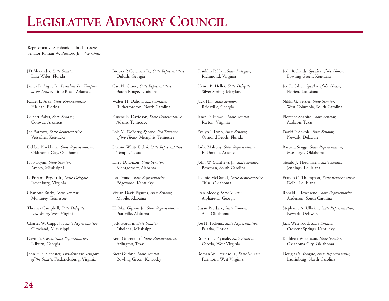# **LEGISLATIVE ADVISORY COUNCIL**

Representative Stephanie Ulbrich, *Chair* Senator Roman W. Prezioso Jr., *Vice Chair*

JD Alexander, *State Senator,* Lake Wales, Florida

James B. Argue Jr., *President Pro Tempore of the Senate,* Little Rock, Arkansas

Rafael L. Arza, *State Representative,* Hialeah, Florida

Gilbert Baker, *State Senator,* Conway, Arkansas

Joe Barrows, *State Representative,* Versailles, Kentucky

Debbie Blackburn, *State Representative,* Oklahoma City, Oklahoma

Hob Bryan, *State Senator,* Amory, Mississippi

L. Preston Bryant Jr., *State Delegate,* Lynchburg, Virginia

Charlotte Burks, *State Senator,* Monterey, Tennessee

Thomas Campbell, *State Delegate,* Lewisburg, West Virginia

Charles W. Capps Jr., *State Representative,* Cleveland, Mississippi

David S. Casas, *State Representative,* Lilburn, Georgia

John H. Chichester, *President Pro Tempore of the Senate,* Fredericksburg, Virginia

Brooks P. Coleman Jr., *State Representative,* Duluth, Georgia

Carl N. Crane, *State Representative,* Baton Rouge, Louisiana

Walter H. Dalton, *State Senator,* Rutherfordton, North Carolina

Eugene E. Davidson, *State Representative,* Adams, Tennessee

Lois M. DeBerry, *Speaker Pro Tempore of the House,* Memphis, Tennessee

Dianne White Delisi, *State Representative,* Temple, Texas

Larry D. Dixon, *State Senator,* Montgomery, Alabama

Jon Draud, *State Representative,* Edgewood, Kentucky

Vivian Davis Figures, *State Senator,* Mobile, Alabama

H. Mac Gipson Jr., *State Representative,* Prattville, Alabama

Jack Gordon, *State Senator,* Okolona, Mississippi

Kent Grusendorf, *State Representative,* Arlington, Texas

Brett Guthrie, *State Senator,* Bowling Green, Kentucky Franklin P. Hall, *State Delegate,*  Richmond, Virginia

Henry B. Heller, *State Delegate,* Silver Spring, Maryland

Jack Hill, *State Senator,* Reidsville, Georgia

Janet D. Howell, *State Senator,* Reston, Virginia

Evelyn J. Lynn, *State Senator,*  Ormond Beach, Florida

Jodie Mahony, *State Representative,* El Dorado, Arkansas

John W. Matthews Jr., *State Senator,* Bowman, South Carolina

Jeannie McDaniel, *State Representative,* Tulsa, Oklahoma

Dan Moody, *State Senator,* Alpharetta, Georgia

Susan Paddack, *State Senator,* Ada, Oklahoma

Joe H. Pickens, *State Representative,* Palatka, Florida

Robert H. Plymale, *State Senator,* Ceredo, West Virginia

Roman W. Prezioso Jr., *State Senator,* Fairmont, West Virginia

Jody Richards, *Speaker of the House,*  Bowling Green, Kentucky

Joe R. Salter, *Speaker of the House,*  Florien, Louisiana

Nikki G. Setzler, *State Senator,* West Columbia, South Carolina

Florence Shapiro, *State Senator,* Addison, Texas

David P. Sokola, *State Senator,* Newark, Delaware

Barbara Staggs, *State Representative,* Muskogee, Oklahoma

Gerald J. Theunissen, *State Senator,* Jennings, Louisiana

Francis C. Thompson, *State Representative,* Delhi, Louisiana

Ronald P. Townsend, *State Representative,* Anderson, South Carolina

Stephanie A. Ulbrich, *State Representative,* Newark, Delaware

Jack Westwood, *State Senator,* Crescent Springs, Kentucky

Kathleen Wilcoxson, *State Senator,* Oklahoma City, Oklahoma

Douglas Y. Yongue, *State Representative,* Laurinburg, North Carolina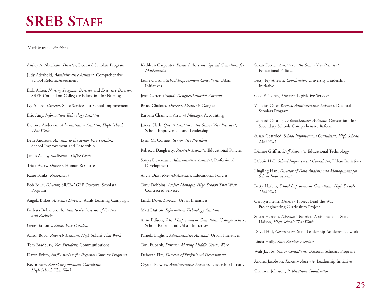# **SREB STAFF**

#### Mark Musick, *President*

- Ansley A. Abraham, *Director,* Doctoral Scholars Program
- Judy Aderhold, *Administrative Assistant,* Comprehensive School Reform/Assessment
- Eula Aiken, *Nursing Programs Director* and *Executive Director,* SREB Council on Collegiate Education for Nursing
- Ivy Alford, *Director,* State Services for School Improvement

Eric Amy, *Information Technology Assistant*

- Donnea Anderson, *Administrative Assistant, High Schools That Work*
- Beth Andrews, *Assistant to the Senior Vice President,* School Improvement and Leadership
- James Ashby, *Mailroom Office Clerk*
- Tricia Avery, *Director,* Human Resources

Katie Banks, *Receptionist*

- Bob Belle, *Director,* SREB-AGEP Doctoral Scholars Program
- Angela Birkes, *Associate Director,* Adult Learning Campaign
- Barbara Bohanon, *Assistant to the Director of Finance and Facilities*
- Gene Bottoms, *Senior Vice President*
- Aaron Boyd, *Research Assistant, High Schools That Work*
- Tom Bradbury, *Vice President,* Communications
- Dawn Bristo, *Staff Associate for Regional Contract Programs*

Kevin Burr, *School Improvement Consultant, High Schools That Work*

- Kathleen Carpenter, *Research Associate, Special Consultant for Mathematics*
- Leslie Carson, *School Improvement Consultant,* Urban Initiatives
- Jenn Carter, *Graphic Designer/Editorial Assistant*
- Bruce Chaloux, *Director, Electronic Campus*
- Barbara Channell, *Account Manager,* Accounting
- James Clark, *Special Assistant to the Senior Vice President,* School Improvement and Leadership
- Lynn M. Cornett, *Senior Vice President*
- Rebecca Daugherty, *Research Associate,* Educational Policies
- Sonya Devereaux, *Administrative Assistant,* Professional Development
- Alicia Diaz, *Research Associate,* Educational Policies
- Tony Dobbins, *Project Manager, High Schools That Work* Contracted Services
- Linda Dove, *Director,* Urban Initiatives
- Matt Dutton, *Information Technology Assistant*
- Anne Edison, *School Improvement Consultant,* Comprehensive School Reform and Urban Initiatives
- Pamela English, *Administrative Assistant,* Urban Initiatives
- Toni Eubank, *Director, Making Middle Grades Work*
- Deborah Fite, *Director of Professional Development*
- Crystal Flowers, *Administrative Assistant,* Leadership Initiative
- Susan Fowler, *Assistant to the Senior Vice President,* Educational Policies
- Betty Fry-Ahearn, *Coordinator,* University Leadership Initiative
- Gale F. Gaines, *Director,* Legislative Services
- Vinicius Gates-Reeves, *Administrative Assistant,* Doctoral Scholars Program
- Leonard Gatungo, *Administrative Assistant,* Consortium for Secondary Schools Comprehensive Reform
- Susan Gottfried, *School Improvement Consultant, High Schools That Work*
- Dianne Griffin, *Staff Associate,* Educational Technology
- Debbie Hall, *School Improvement Consultant,* Urban Initiatives
- Lingling Han, *Director of Data Analysis and Management for School Improvement*
- Betty Harbin, *School Improvement Consultant, High Schools That Work*
- Carolyn Helm, *Director,* Project Lead the Way, Pre-engineering Curriculum Project
- Susan Henson, *Director,* Technical Assistance and State Liaison, *High Schools That Work*
- David Hill, *Coordinator,* State Leadership Academy Network
- Linda Holly, *State Services Associate*
- Walt Jacobs, *Senior Consultant,* Doctoral Scholars Program
- Andrea Jacobson, *Research Associate,* Leadership Initiative
- Shannon Johnson, *Publications Coordinator*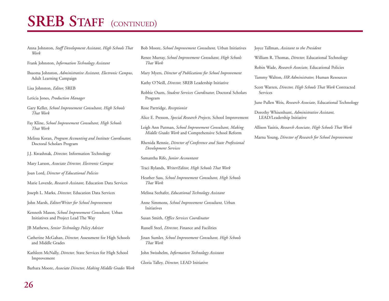# **SREB STAFF** (CONTINUED)

- Anna Johnston, *Staff Development Assistant, High Schools That Work*
- Frank Johnston, *Information Technology Assistant*
- Ihuoma Johnston, *Administrative Assistant, Electronic Campus*, Adult Learning Campaign
- Lisa Johnston, *Editor,* SREB

Leticia Jones, *Production Manager*

- Gary Keller, *School Improvement Consultant, High Schools That Work*
- Fay Kline, *School Improvement Consultant, High Schools That Work*
- Melissa Koran, *Program Accounting and Institute Coordinator,* Doctoral Scholars Program
- J.J. Kwashnak, *Director,* Information Technology
- Mary Larson, *Associate Director, Electronic Campus*

Joan Lord, *Director of Educational Policies*

- Marie Loverde, *Research Assistant,* Education Data Services
- Joseph L. Marks, *Director,* Education Data Services
- John Marsh, *Editor/Writer for School Improvement*
- Kenneth Mason, *School Improvement Consultant,* Urban Initiatives and Project Lead The Way

JB Mathews, *Senior Technology Policy Adviser*

- Catherine McGahan, *Director,* Assessment for High Schools and Middle Grades
- Kathleen McNally, *Director,* State Services for High School Improvement

Barbara Moore, *Associate Director, Making Middle Grades Work*

- Bob Moore, *School Improvement Consultant,* Urban Initiatives
- Renee Murray, *School Improvement Consultant, High Schools That Work*
- Mary Myers, *Director of Publications for School Improvement*

Kathy O'Neill, *Director,* SREB Leadership Initiative

- Robbie Ouzts, *Student Services Coordinator,* Doctoral Scholars Program
- Rose Partridge, *Receptionist*
- Alice E. Presson, *Special Research Projects,* School Improvement
- Leigh Ann Putman, *School Improvement Consultant, Making Middle Grades Work* and Comprehensive School Reform
- Rhenida Rennie, *Director of Conference and State Professional Development Services*
- Samantha Rife, *Junior Accountant*
- Traci Rylands, *Writer/Editor, High Schools That Work*
- Heather Sass, *School Improvement Consultant, High Schools That Work*
- Melissa Seehafer, *Educational Technology Assistant*
- Anne Simmons, *School Improvement Consultant,* Urban Initiatives
- Susan Smith, *Office Services Coordinator*
- Russell Steel, *Director,* Finance and Facilities
- Jinan Sumler, *School Improvement Consultant, High Schools That Work*
- John Swisshelm, *Information Technology Assistant*
- Gloria Talley, *Director,* LEAD Initiative

Joyce Tallman, *Assistant to the President*

- William R. Thomas, *Director,* Educational Technology
- Robin Wade, *Research Associate,* Educational Policies
- Tammy Walton, *HR Administrator,* Human Resources
- Scott Warren, *Director, High Schools That Work* Contracted Services
- June Pullen Weis, *Research Associate,* Educational Technology
- Dorothy Whisenhunt, *Administrative Assistant,* LEAD/Leadership Initiative
- Allison Yasitis, *Research Associate, High Schools That Work*
- Marna Young, *Director of Research for School Improvement*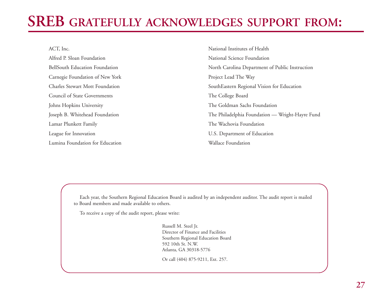# **SREB GRATEFULLY ACKNOWLEDGES SUPPORT FROM:**

| ACT, Inc.                              | National Institutes of Health                   |
|----------------------------------------|-------------------------------------------------|
| Alfred P. Sloan Foundation             | National Science Foundation                     |
| <b>BellSouth Education Foundation</b>  | North Carolina Department of Public Instruction |
| Carnegie Foundation of New York        | Project Lead The Way                            |
| <b>Charles Stewart Mott Foundation</b> | SouthEastern Regional Vision for Education      |
| Council of State Governments           | The College Board                               |
| Johns Hopkins University               | The Goldman Sachs Foundation                    |
| Joseph B. Whitehead Foundation         | The Philadelphia Foundation - Wright-Hayre Fund |
| Lamar Plunkett Family                  | The Wachovia Foundation                         |
| League for Innovation                  | U.S. Department of Education                    |
| Lumina Foundation for Education        | Wallace Foundation                              |

Each year, the Southern Regional Education Board is audited by an independent auditor. The audit report is mailed to Board members and made available to others.

To receive a copy of the audit report, please write:

Russell M. Steel Jr. Director of Finance and Facilities Southern Regional Education Board 592 10th St. N.W. Atlanta, GA 30318-5776

Or call (404) 875-9211, Ext. 257.